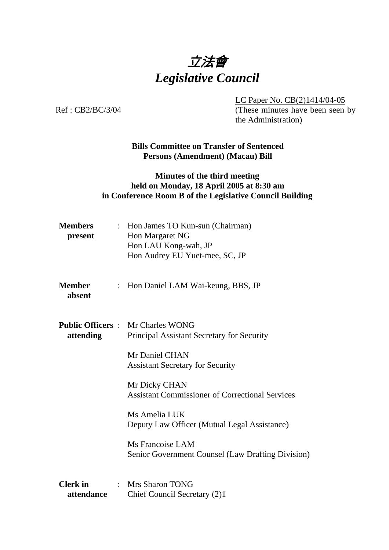

LC Paper No. CB(2)1414/04-05

Ref: CB2/BC/3/04 (These minutes have been seen by the Administration)

> **Bills Committee on Transfer of Sentenced Persons (Amendment) (Macau) Bill**

## **Minutes of the third meeting held on Monday, 18 April 2005 at 8:30 am in Conference Room B of the Legislative Council Building**

| <b>Members</b><br>present     | : Hon James TO Kun-sun (Chairman)<br>Hon Margaret NG<br>Hon LAU Kong-wah, JP<br>Hon Audrey EU Yuet-mee, SC, JP |  |
|-------------------------------|----------------------------------------------------------------------------------------------------------------|--|
| <b>Member</b><br>absent       | : Hon Daniel LAM Wai-keung, BBS, JP                                                                            |  |
| attending                     | <b>Public Officers: Mr Charles WONG</b><br>Principal Assistant Secretary for Security                          |  |
|                               | Mr Daniel CHAN<br><b>Assistant Secretary for Security</b>                                                      |  |
|                               | Mr Dicky CHAN<br><b>Assistant Commissioner of Correctional Services</b>                                        |  |
|                               | Ms Amelia LUK<br>Deputy Law Officer (Mutual Legal Assistance)                                                  |  |
|                               | Ms Francoise LAM<br><b>Senior Government Counsel (Law Drafting Division)</b>                                   |  |
| <b>Clerk</b> in<br>attendance | : Mrs Sharon TONG<br>Chief Council Secretary (2)1                                                              |  |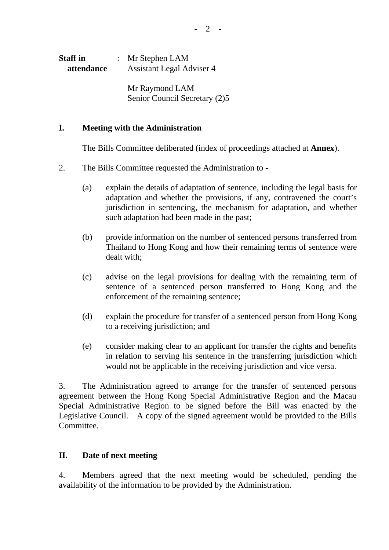| <b>Staff</b> in |  | : Mr Stephen $LAM$               |  |
|-----------------|--|----------------------------------|--|
| attendance      |  | <b>Assistant Legal Adviser 4</b> |  |

 Mr Raymond LAM Senior Council Secretary (2)5

## **I. Meeting with the Administration**

1. The Bills Committee deliberated (index of proceedings attached at **Annex**).

- 2. The Bills Committee requested the Administration to
	- (a) explain the details of adaptation of sentence, including the legal basis for adaptation and whether the provisions, if any, contravened the court's jurisdiction in sentencing, the mechanism for adaptation, and whether such adaptation had been made in the past;
	- (b) provide information on the number of sentenced persons transferred from Thailand to Hong Kong and how their remaining terms of sentence were dealt with:
	- (c) advise on the legal provisions for dealing with the remaining term of sentence of a sentenced person transferred to Hong Kong and the enforcement of the remaining sentence;
	- (d) explain the procedure for transfer of a sentenced person from Hong Kong to a receiving jurisdiction; and
	- (e) consider making clear to an applicant for transfer the rights and benefits in relation to serving his sentence in the transferring jurisdiction which would not be applicable in the receiving jurisdiction and vice versa.

3. The Administration agreed to arrange for the transfer of sentenced persons agreement between the Hong Kong Special Administrative Region and the Macau Special Administrative Region to be signed before the Bill was enacted by the Legislative Council. A copy of the signed agreement would be provided to the Bills Committee.

## **II. Date of next meeting**

4. Members agreed that the next meeting would be scheduled, pending the availability of the information to be provided by the Administration.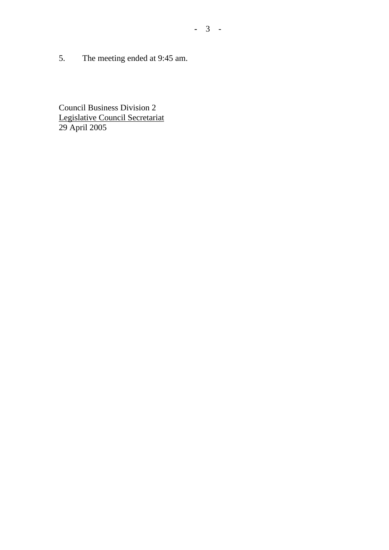5. The meeting ended at 9:45 am.

Council Business Division 2 Legislative Council Secretariat 29 April 2005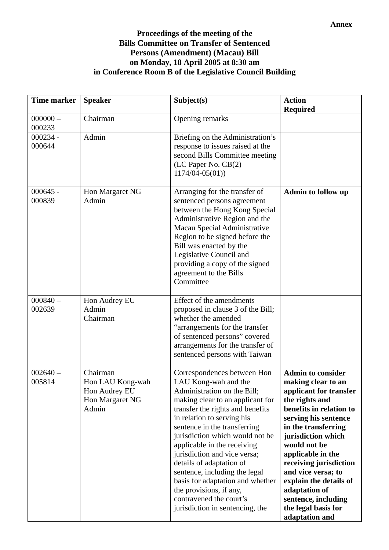## **Proceedings of the meeting of the Bills Committee on Transfer of Sentenced Persons (Amendment) (Macau) Bill on Monday, 18 April 2005 at 8:30 am in Conference Room B of the Legislative Council Building**

| <b>Time marker</b>   | <b>Speaker</b>                                                            | Subject(s)                                                                                                                                                                                                                                                                                                                                                                                                                                                                                                           | <b>Action</b><br><b>Required</b>                                                                                                                                                                                                                                                                                                                                                           |
|----------------------|---------------------------------------------------------------------------|----------------------------------------------------------------------------------------------------------------------------------------------------------------------------------------------------------------------------------------------------------------------------------------------------------------------------------------------------------------------------------------------------------------------------------------------------------------------------------------------------------------------|--------------------------------------------------------------------------------------------------------------------------------------------------------------------------------------------------------------------------------------------------------------------------------------------------------------------------------------------------------------------------------------------|
| $000000 -$<br>000233 | Chairman                                                                  | Opening remarks                                                                                                                                                                                                                                                                                                                                                                                                                                                                                                      |                                                                                                                                                                                                                                                                                                                                                                                            |
| $000234 -$<br>000644 | Admin                                                                     | Briefing on the Administration's<br>response to issues raised at the<br>second Bills Committee meeting<br>(LC Paper No. CB(2)<br>$1174/04 - 05(01)$                                                                                                                                                                                                                                                                                                                                                                  |                                                                                                                                                                                                                                                                                                                                                                                            |
| $000645 -$<br>000839 | Hon Margaret NG<br>Admin                                                  | Arranging for the transfer of<br>sentenced persons agreement<br>between the Hong Kong Special<br>Administrative Region and the<br>Macau Special Administrative<br>Region to be signed before the<br>Bill was enacted by the<br>Legislative Council and<br>providing a copy of the signed<br>agreement to the Bills<br>Committee                                                                                                                                                                                      | <b>Admin to follow up</b>                                                                                                                                                                                                                                                                                                                                                                  |
| $000840 -$<br>002639 | Hon Audrey EU<br>Admin<br>Chairman                                        | Effect of the amendments<br>proposed in clause 3 of the Bill;<br>whether the amended<br>"arrangements for the transfer<br>of sentenced persons" covered<br>arrangements for the transfer of<br>sentenced persons with Taiwan                                                                                                                                                                                                                                                                                         |                                                                                                                                                                                                                                                                                                                                                                                            |
| $002640 -$<br>005814 | Chairman<br>Hon LAU Kong-wah<br>Hon Audrey EU<br>Hon Margaret NG<br>Admin | Correspondences between Hon<br>LAU Kong-wah and the<br>Administration on the Bill;<br>making clear to an applicant for<br>transfer the rights and benefits<br>in relation to serving his<br>sentence in the transferring<br>jurisdiction which would not be<br>applicable in the receiving<br>jurisdiction and vice versa;<br>details of adaptation of<br>sentence, including the legal<br>basis for adaptation and whether<br>the provisions, if any,<br>contravened the court's<br>jurisdiction in sentencing, the | <b>Admin to consider</b><br>making clear to an<br>applicant for transfer<br>the rights and<br>benefits in relation to<br>serving his sentence<br>in the transferring<br>jurisdiction which<br>would not be<br>applicable in the<br>receiving jurisdiction<br>and vice versa; to<br>explain the details of<br>adaptation of<br>sentence, including<br>the legal basis for<br>adaptation and |